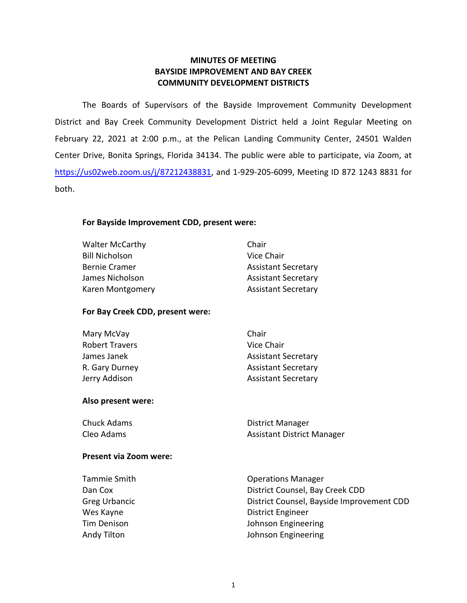## **MINUTES OF MEETING BAYSIDE IMPROVEMENT AND BAY CREEK COMMUNITY DEVELOPMENT DISTRICTS**

 The Boards of Supervisors of the Bayside Improvement Community Development District and Bay Creek Community Development District held a Joint Regular Meeting on February 22, 2021 at 2:00 p.m., at the Pelican Landing Community Center, 24501 Walden Center Drive, Bonita Springs, Florida 34134. The public were able to participate, via Zoom, at [https://us02web.zoom.us/j/87212438831,](https://us02web.zoom.us/j/87212438831) and 1-929-205-6099, Meeting ID 872 1243 8831 for both.

## **For Bayside Improvement CDD, present were:**

Walter McCarthy **Chair** Chair Bill Nicholson Vice Chair Bernie Cramer **Assistant Secretary** James Nicholson **Assistant Secretary** Karen Montgomery **Assistant Secretary** 

## **For Bay Creek CDD, present were:**

| Mary McVay            | Chair                      |
|-----------------------|----------------------------|
| <b>Robert Travers</b> | Vice Chair                 |
| James Janek           | <b>Assistant Secretary</b> |
| R. Gary Durney        | <b>Assistant Secretary</b> |
| Jerry Addison         | <b>Assistant Secretary</b> |

### **Also present were:**

| Chuck Adams | District Manager                  |
|-------------|-----------------------------------|
| Cleo Adams  | <b>Assistant District Manager</b> |

### **Present via Zoom were:**

| Tammie Smith  | <b>Operations Manager</b>                 |
|---------------|-------------------------------------------|
| Dan Cox       | District Counsel, Bay Creek CDD           |
| Greg Urbancic | District Counsel, Bayside Improvement CDD |
| Wes Kayne     | <b>District Engineer</b>                  |
| Tim Denison   | Johnson Engineering                       |
| Andy Tilton   | Johnson Engineering                       |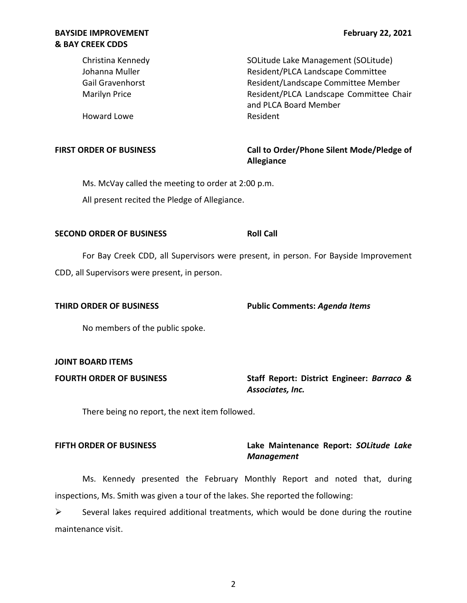Gail Gravenhorst **Resident/Landscape Committee Member** Marilyn Price **National Accord Committee Chair** Resident/PLCA Landscape Committee Chair Christina Kennedy SOLitude Lake Management (SOLitude) Johanna Muller Resident/PLCA Landscape Committee and PLCA Board Member

Howard Lowe **Resident** 

FIRST ORDER OF BUSINESS **The State of Landsler Call to Order/Phone Silent Mode/Pledge of Allegiance** 

 Ms. McVay called the meeting to order at 2:00 p.m. All present recited the Pledge of Allegiance.

## **SECOND ORDER OF BUSINESS ROLL CALL ROLL CALL**

For Bay Creek CDD, all Supervisors were present, in person. For Bayside Improvement CDD, all Supervisors were present, in person.

 **THIRD ORDER OF BUSINESS Public Comments:** *Agenda Items* 

No members of the public spoke.

## **JOINT BOARD ITEMS**

 **FOURTH ORDER OF BUSINESS** Staff Report: District Engineer: *Barraco & Associates, Inc.* 

There being no report, the next item followed.

## **FIFTH ORDER OF BUSINESS Lake Maintenance Report:** *SOLitude Lake Management*

 inspections, Ms. Smith was given a tour of the lakes. She reported the following: Ms. Kennedy presented the February Monthly Report and noted that, during

 $\triangleright$  Several lakes required additional treatments, which would be done during the routine maintenance visit.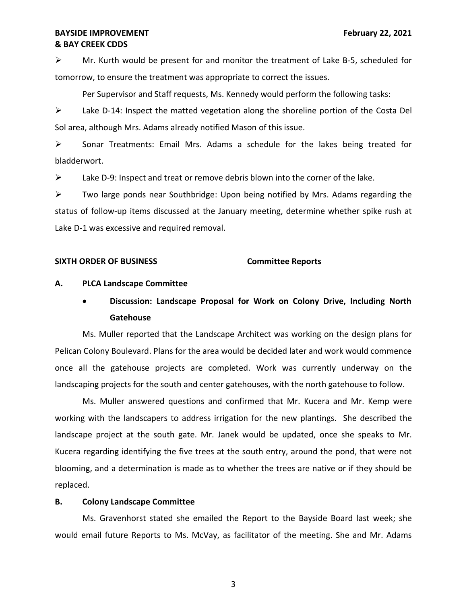$\triangleright$  Mr. Kurth would be present for and monitor the treatment of Lake B-5, scheduled for tomorrow, to ensure the treatment was appropriate to correct the issues.

Per Supervisor and Staff requests, Ms. Kennedy would perform the following tasks:

 ➢ Lake D-14: Inspect the matted vegetation along the shoreline portion of the Costa Del Sol area, although Mrs. Adams already notified Mason of this issue.

 ➢ Sonar Treatments: Email Mrs. Adams a schedule for the lakes being treated for bladderwort.

 $\triangleright$  Lake D-9: Inspect and treat or remove debris blown into the corner of the lake.

 status of follow-up items discussed at the January meeting, determine whether spike rush at  $\triangleright$  Two large ponds near Southbridge: Upon being notified by Mrs. Adams regarding the Lake D-1 was excessive and required removal.

## **SIXTH ORDER OF BUSINESS Committee Reports**

## **A. PLCA Landscape Committee**

# • **Discussion: Landscape Proposal for Work on Colony Drive, Including North Gatehouse**

 Ms. Muller reported that the Landscape Architect was working on the design plans for Pelican Colony Boulevard. Plans for the area would be decided later and work would commence once all the gatehouse projects are completed. Work was currently underway on the landscaping projects for the south and center gatehouses, with the north gatehouse to follow.

 Ms. Muller answered questions and confirmed that Mr. Kucera and Mr. Kemp were Kucera regarding identifying the five trees at the south entry, around the pond, that were not blooming, and a determination is made as to whether the trees are native or if they should be working with the landscapers to address irrigation for the new plantings. She described the landscape project at the south gate. Mr. Janek would be updated, once she speaks to Mr. replaced.

## **B. Colony Landscape Committee**

 Ms. Gravenhorst stated she emailed the Report to the Bayside Board last week; she would email future Reports to Ms. McVay, as facilitator of the meeting. She and Mr. Adams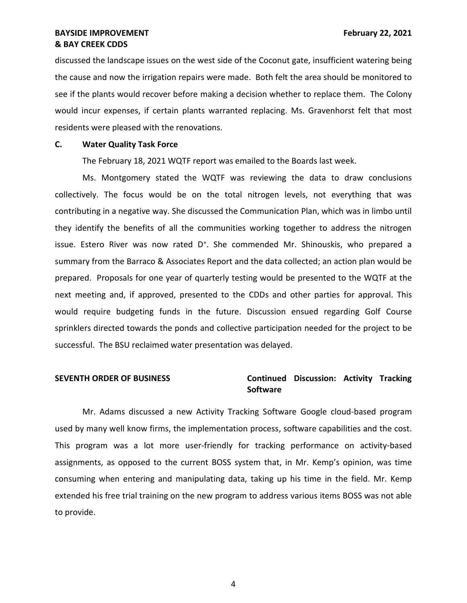discussed the landscape issues on the west side of the Coconut gate, insufficient watering being the cause and now the irrigation repairs were made. Both felt the area should be monitored to see if the plants would recover before making a decision whether to replace them. The Colony residents were pleased with the renovations. would incur expenses, if certain plants warranted replacing. Ms. Gravenhorst felt that most

### **C. Water Quality Task Force**

The February 18, 2021 WQTF report was emailed to the Boards last week.

 Ms. Montgomery stated the WQTF was reviewing the data to draw conclusions collectively. The focus would be on the total nitrogen levels, not everything that was contributing in a negative way. She discussed the Communication Plan, which was in limbo until they identify the benefits of all the communities working together to address the nitrogen issue. Estero River was now rated D<sup>+</sup>. She commended Mr. Shinouskis, who prepared a summary from the Barraco & Associates Report and the data collected; an action plan would be prepared. Proposals for one year of quarterly testing would be presented to the WQTF at the next meeting and, if approved, presented to the CDDs and other parties for approval. This would require budgeting funds in the future. Discussion ensued regarding Golf Course sprinklers directed towards the ponds and collective participation needed for the project to be successful. The BSU reclaimed water presentation was delayed.

## **SEVENTH ORDER OF BUSINESS Continued Discussion: Activity Tracking Software**

 Mr. Adams discussed a new Activity Tracking Software Google cloud-based program assignments, as opposed to the current BOSS system that, in Mr. Kemp's opinion, was time consuming when entering and manipulating data, taking up his time in the field. Mr. Kemp extended his free trial training on the new program to address various items BOSS was not able used by many well know firms, the implementation process, software capabilities and the cost. This program was a lot more user-friendly for tracking performance on activity-based to provide.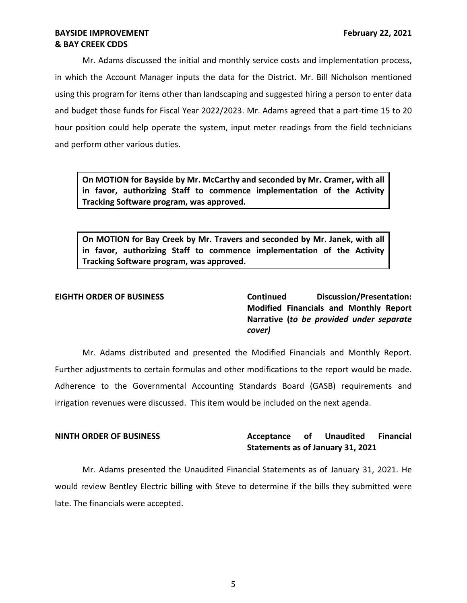Mr. Adams discussed the initial and monthly service costs and implementation process, in which the Account Manager inputs the data for the District. Mr. Bill Nicholson mentioned using this program for items other than landscaping and suggested hiring a person to enter data and budget those funds for Fiscal Year 2022/2023. Mr. Adams agreed that a part-time 15 to 20 hour position could help operate the system, input meter readings from the field technicians and perform other various duties.

 **On MOTION for Bayside by Mr. McCarthy and seconded by Mr. Cramer, with all in favor, authorizing Staff to commence implementation of the Activity Tracking Software program, was approved.** 

 **On MOTION for Bay Creek by Mr. Travers and seconded by Mr. Janek, with all in favor, authorizing Staff to commence implementation of the Activity Tracking Software program, was approved.** 

EIGHTH ORDER OF BUSINESS **Continued** Discussion/Presentation:  **Modified Financials and Monthly Report**   **Narrative (***to be provided under separate cover)* 

 Mr. Adams distributed and presented the Modified Financials and Monthly Report. Further adjustments to certain formulas and other modifications to the report would be made. Adherence to the Governmental Accounting Standards Board (GASB) requirements and irrigation revenues were discussed. This item would be included on the next agenda.

### **Acceptance Statements as of January 31, 2021 NINTH ORDER OF BUSINESS Acceptance of Unaudited Financial**

 Mr. Adams presented the Unaudited Financial Statements as of January 31, 2021. He would review Bentley Electric billing with Steve to determine if the bills they submitted were late. The financials were accepted.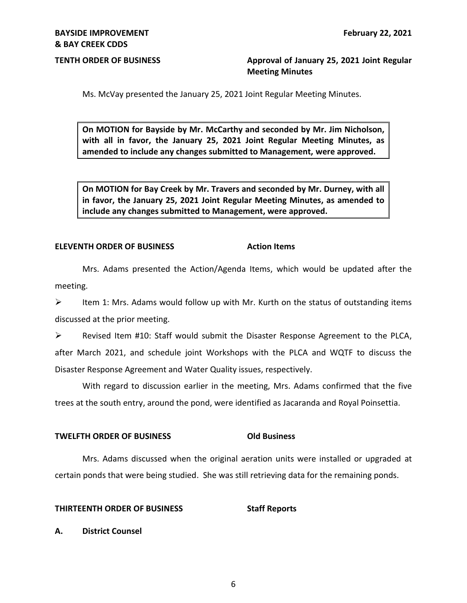**TENTH ORDER OF BUSINESS Approval of January 25, 2021 Joint Regular Meeting Minutes** 

Ms. McVay presented the January 25, 2021 Joint Regular Meeting Minutes.

 **On MOTION for Bayside by Mr. McCarthy and seconded by Mr. Jim Nicholson, with all in favor, the January 25, 2021 Joint Regular Meeting Minutes, as amended to include any changes submitted to Management, were approved.** 

 **On MOTION for Bay Creek by Mr. Travers and seconded by Mr. Durney, with all in favor, the January 25, 2021 Joint Regular Meeting Minutes, as amended to include any changes submitted to Management, were approved.** 

### **ELEVENTH ORDER OF BUSINESS Action Items**

 Mrs. Adams presented the Action/Agenda Items, which would be updated after the meeting.

 $\triangleright$  Item 1: Mrs. Adams would follow up with Mr. Kurth on the status of outstanding items discussed at the prior meeting.

 ➢ Revised Item #10: Staff would submit the Disaster Response Agreement to the PLCA, after March 2021, and schedule joint Workshops with the PLCA and WQTF to discuss the Disaster Response Agreement and Water Quality issues, respectively.

 With regard to discussion earlier in the meeting, Mrs. Adams confirmed that the five trees at the south entry, around the pond, were identified as Jacaranda and Royal Poinsettia.

## **TWELFTH ORDER OF BUSINESS Old Business**

 Mrs. Adams discussed when the original aeration units were installed or upgraded at certain ponds that were being studied. She was still retrieving data for the remaining ponds.

### **THIRTEENTH ORDER OF BUSINESS Staff Reports**

**A. District Counsel**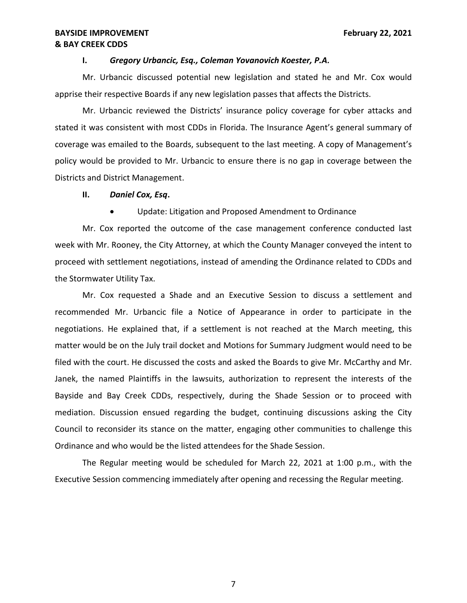### **I.** *Gregory Urbancic, Esq., Coleman Yovanovich Koester, P.A.*

 apprise their respective Boards if any new legislation passes that affects the Districts. Mr. Urbancic discussed potential new legislation and stated he and Mr. Cox would

 stated it was consistent with most CDDs in Florida. The Insurance Agent's general summary of coverage was emailed to the Boards, subsequent to the last meeting. A copy of Management's policy would be provided to Mr. Urbancic to ensure there is no gap in coverage between the Districts and District Management. Mr. Urbancic reviewed the Districts' insurance policy coverage for cyber attacks and

## **II.** *Daniel Cox, Esq***.**

• Update: Litigation and Proposed Amendment to Ordinance

 Mr. Cox reported the outcome of the case management conference conducted last week with Mr. Rooney, the City Attorney, at which the County Manager conveyed the intent to proceed with settlement negotiations, instead of amending the Ordinance related to CDDs and the Stormwater Utility Tax.

 Mr. Cox requested a Shade and an Executive Session to discuss a settlement and recommended Mr. Urbancic file a Notice of Appearance in order to participate in the negotiations. He explained that, if a settlement is not reached at the March meeting, this matter would be on the July trail docket and Motions for Summary Judgment would need to be filed with the court. He discussed the costs and asked the Boards to give Mr. McCarthy and Mr. Janek, the named Plaintiffs in the lawsuits, authorization to represent the interests of the Bayside and Bay Creek CDDs, respectively, during the Shade Session or to proceed with Council to reconsider its stance on the matter, engaging other communities to challenge this Ordinance and who would be the listed attendees for the Shade Session. mediation. Discussion ensued regarding the budget, continuing discussions asking the City

 The Regular meeting would be scheduled for March 22, 2021 at 1:00 p.m., with the Executive Session commencing immediately after opening and recessing the Regular meeting.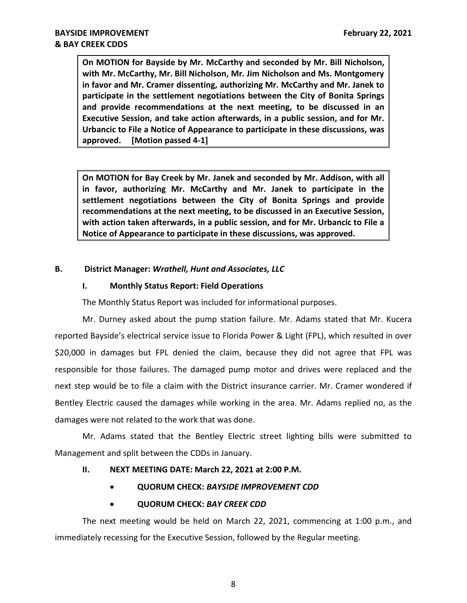**On MOTION for Bayside by Mr. McCarthy and seconded by Mr. Bill Nicholson, with Mr. McCarthy, Mr. Bill Nicholson, Mr. Jim Nicholson and Ms. Montgomery in favor and Mr. Cramer dissenting, authorizing Mr. McCarthy and Mr. Janek to participate in the settlement negotiations between the City of Bonita Springs and provide recommendations at the next meeting, to be discussed in an Executive Session, and take action afterwards, in a public session, and for Mr. Urbancic to File a Notice of Appearance to participate in these discussions, was**  approved. **IMotion passed 4-1]** 

 **On MOTION for Bay Creek by Mr. Janek and seconded by Mr. Addison, with all in favor, authorizing Mr. McCarthy and Mr. Janek to participate in the settlement negotiations between the City of Bonita Springs and provide recommendations at the next meeting, to be discussed in an Executive Session, with action taken afterwards, in a public session, and for Mr. Urbancic to File a Notice of Appearance to participate in these discussions, was approved.** 

## **B. District Manager:** *Wrathell, Hunt and Associates, LLC*

## **I. Monthly Status Report: Field Operations**

The Monthly Status Report was included for informational purposes.

 Mr. Durney asked about the pump station failure. Mr. Adams stated that Mr. Kucera reported Bayside's electrical service issue to Florida Power & Light (FPL), which resulted in over \$20,000 in damages but FPL denied the claim, because they did not agree that FPL was next step would be to file a claim with the District insurance carrier. Mr. Cramer wondered if Bentley Electric caused the damages while working in the area. Mr. Adams replied no, as the damages were not related to the work that was done. responsible for those failures. The damaged pump motor and drives were replaced and the

 Mr. Adams stated that the Bentley Electric street lighting bills were submitted to Management and split between the CDDs in January.

## **II. NEXT MEETING DATE: March 22, 2021 at 2:00 P.M.**

• **QUORUM CHECK:** *BAYSIDE IMPROVEMENT CDD* 

## • **QUORUM CHECK:** *BAY CREEK CDD*

 The next meeting would be held on March 22, 2021, commencing at 1:00 p.m., and immediately recessing for the Executive Session, followed by the Regular meeting.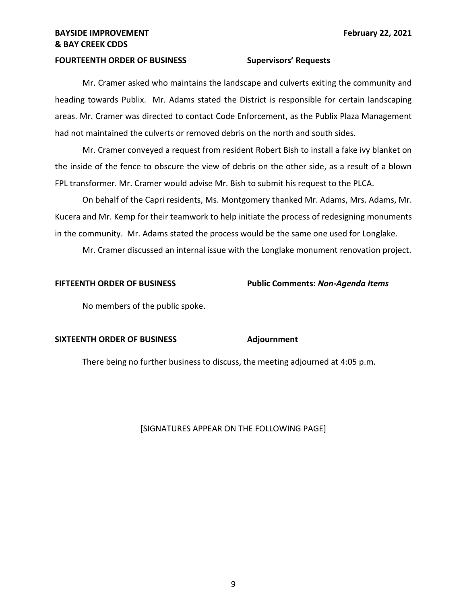### **FOURTEENTH ORDER OF BUSINESS Supervisors' Requests**

 Mr. Cramer asked who maintains the landscape and culverts exiting the community and heading towards Publix. Mr. Adams stated the District is responsible for certain landscaping areas. Mr. Cramer was directed to contact Code Enforcement, as the Publix Plaza Management had not maintained the culverts or removed debris on the north and south sides.

 Mr. Cramer conveyed a request from resident Robert Bish to install a fake ivy blanket on the inside of the fence to obscure the view of debris on the other side, as a result of a blown FPL transformer. Mr. Cramer would advise Mr. Bish to submit his request to the PLCA.

 On behalf of the Capri residents, Ms. Montgomery thanked Mr. Adams, Mrs. Adams, Mr. Kucera and Mr. Kemp for their teamwork to help initiate the process of redesigning monuments in the community. Mr. Adams stated the process would be the same one used for Longlake.

Mr. Cramer discussed an internal issue with the Longlake monument renovation project.

 **FIFTEENTH ORDER OF BUSINESS Public Comments:** *Non-Agenda Items* 

No members of the public spoke.

### **SIXTEENTH ORDER OF BUSINESS Adjournment**

There being no further business to discuss, the meeting adjourned at 4:05 p.m.

### [SIGNATURES APPEAR ON THE FOLLOWING PAGE]